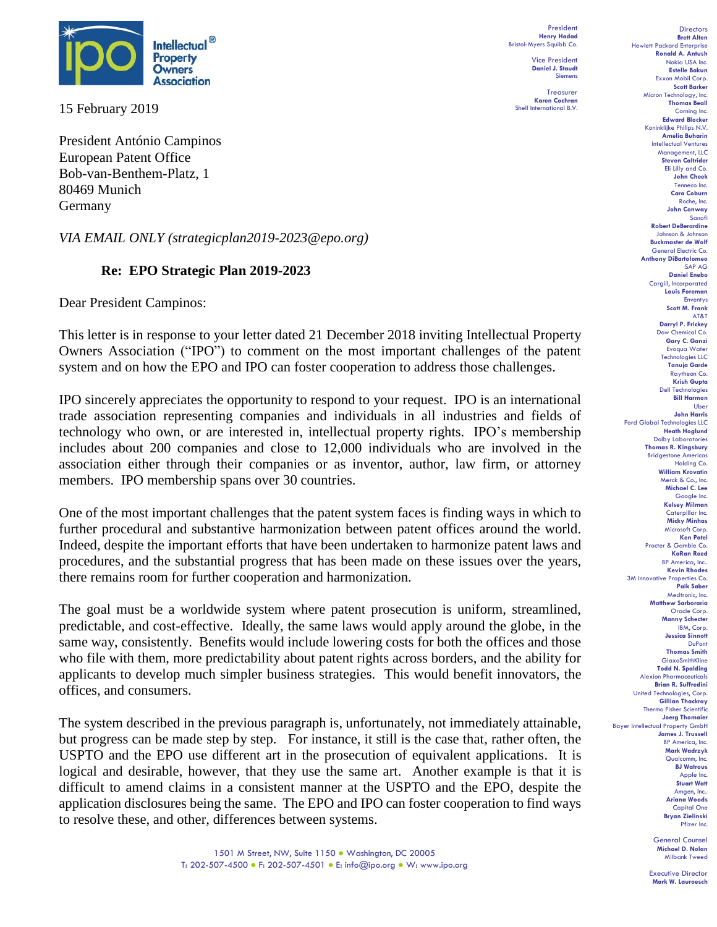

15 February 2019

President António Campinos European Patent Office Bob-van-Benthem-Platz, 1 80469 Munich Germany

*VIA EMAIL ONLY (strategicplan2019-2023@epo.org)*

## **Re:****EPO Strategic Plan 2019-2023**

Dear President Campinos:

This letter is in response to your letter dated 21 December 2018 inviting Intellectual Property Owners Association ("IPO") to comment on the most important challenges of the patent system and on how the EPO and IPO can foster cooperation to address those challenges.

IPO sincerely appreciates the opportunity to respond to your request. IPO is an international trade association representing companies and individuals in all industries and fields of technology who own, or are interested in, intellectual property rights. IPO's membership includes about 200 companies and close to 12,000 individuals who are involved in the association either through their companies or as inventor, author, law firm, or attorney members. IPO membership spans over 30 countries.

One of the most important challenges that the patent system faces is finding ways in which to further procedural and substantive harmonization between patent offices around the world. Indeed, despite the important efforts that have been undertaken to harmonize patent laws and procedures, and the substantial progress that has been made on these issues over the years, there remains room for further cooperation and harmonization.

The goal must be a worldwide system where patent prosecution is uniform, streamlined, predictable, and cost-effective. Ideally, the same laws would apply around the globe, in the same way, consistently. Benefits would include lowering costs for both the offices and those who file with them, more predictability about patent rights across borders, and the ability for applicants to develop much simpler business strategies. This would benefit innovators, the offices, and consumers.

The system described in the previous paragraph is, unfortunately, not immediately attainable, but progress can be made step by step. For instance, it still is the case that, rather often, the USPTO and the EPO use different art in the prosecution of equivalent applications. It is logical and desirable, however, that they use the same art. Another example is that it is difficult to amend claims in a consistent manner at the USPTO and the EPO, despite the application disclosures being the same. The EPO and IPO can foster cooperation to find ways to resolve these, and other, differences between systems.

President **Henry Hadad** Bristol-Myers Squibb Co.

> Vice President **Daniel J. Staudt** Siemens

Treasurer **Karen Cochran** Shell International B.V.

**Directors Brett Alten** Hewlett Packard Enterprise **Ronald A. Antush** Nokia USA Inc. **Estelle Bakun** Exxon Mobil Corp. **Scott Barker** Micron Technology, Inc. **Thomas Beall** Corning Inc. **Edward Blocker** Koninklijke Philips N.V. **Amelia Buharin** Intellectual Ventures Management, LLC **Steven Caltrider** Eli Lilly and Co. **John Cheek** Tenneco Inc. **Cara Coburn** Roche, Inc. **John Conway** Sanofi **Robert DeBerardine** Johnson & Johnson **Buckmaster de Wolf** General Electric Co. **Anthony DiBartolomeo** SAP AG **Daniel Enebo** Cargill, Incorporated **Louis Foreman** Enventys **Scott M. Frank** AT&T **Darryl P. Frickey** Dow Chemical Co. **Gary C. Ganzi** Evoqua Water Technologies LLC **Tanuja Garde** Raytheon Co. **Krish Gupta** Dell Technologies **Bill Harmon** Uber **John Harris** Ford Global Technologies LLC **Heath Hoglund** Dolby Laboratories **Thomas R. Kingsbury** Bridgestone Americas Holding Co. **William Krovatin** Merck & Co., Inc. **Michael C. Lee** Google Inc. **Kelsey Milman** Caterpillar Inc. **Micky Minhas** Microsoft Corp. **Ken Patel** Procter & Gamble Co. **KaRan Reed** BP America, Inc.. **Kevin Rhodes** 3M Innovative Properties Co. **Paik Saber** Medtronic, Inc. **Matthew Sarboraria** Oracle Corp. **Manny Schecter** IBM, Corp. **Jessica Sinnott** DuPont **Thomas Smith** GlaxoSmithKline **Todd N. Spalding** Alexion Pharmaceuticals **Brian R. Suffredini** United Technologies, Corp. **Gillian Thackray** Thermo Fisher Scientific **Joerg Thomaier** Bayer Intellectual Property GmbH **James J. Trussell** BP America, Inc. **Mark Wadrzyk** Qualcomm, Inc. **BJ Watrous** Apple Inc. **Stuart Watt** Amgen, Inc.. **Ariana Woods** Capital One **Bryan Zielinski** Pfizer Inc.

General Counsel **Michael D. Nolan** Milbank Tweed